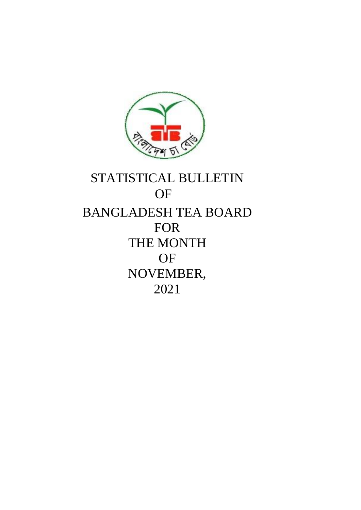

# STATISTICAL BULLETIN **OF** BANGLADESH TEA BOARD FOR THE MONTH OF NOVEMBER, 2021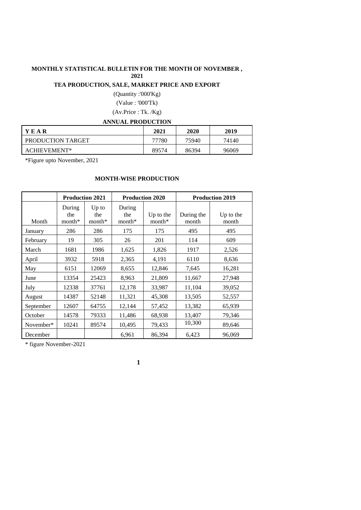#### **MONTHLY STATISTICAL BULLETIN FOR THE MONTH OF NOVEMBER , 2021**

## **TEA PRODUCTION, SALE, MARKET PRICE AND EXPORT**

(Quantity :'000'Kg) (Value : '000'Tk) (Av.Price : Tk. /Kg)

**ANNUAL PRODUCTION**

| 11111011 <b>11</b> 11010011011 |       |       |       |
|--------------------------------|-------|-------|-------|
| YEAR                           | 2021  | 2020  | 2019  |
| PRODUCTION TARGET              | 77780 | 75940 | 74140 |
| ACHIEVEMENT*                   | 89574 | 86394 | 96069 |

\*Figure upto November, 2021

#### **MONTH-WISE PRODUCTION**

|           | <b>Production 2021</b>    |                            |                           | <b>Production 2020</b> | <b>Production 2019</b> |                    |  |  |
|-----------|---------------------------|----------------------------|---------------------------|------------------------|------------------------|--------------------|--|--|
| Month     | During<br>the<br>$month*$ | $Up$ to<br>the<br>$month*$ | During<br>the<br>$month*$ | Up to the<br>$month*$  | During the<br>month    | Up to the<br>month |  |  |
| January   | 286                       | 286                        | 175                       | 175                    | 495                    | 495                |  |  |
| February  | 19                        | 305                        | 26                        | 201                    | 114                    | 609                |  |  |
| March     | 1681                      | 1986                       | 1,625                     | 1,826                  | 1917                   | 2,526              |  |  |
| April     | 3932                      | 5918                       | 2,365                     | 4,191                  | 6110                   | 8,636              |  |  |
| May       | 6151                      | 12069                      | 8,655                     | 12,846                 | 7,645                  | 16,281             |  |  |
| June      | 13354                     | 25423                      | 8,963                     | 21,809                 | 11,667                 | 27,948             |  |  |
| July      | 12338                     | 37761                      | 12,178                    | 33,987                 | 11,104                 | 39,052             |  |  |
| August    | 14387                     | 52148                      | 11,321                    | 45,308                 | 13,505                 | 52,557             |  |  |
| September | 12607                     | 64755                      | 12,144                    | 57,452                 | 13,382                 | 65,939             |  |  |
| October   | 14578                     | 79333                      | 11,486                    | 68,938                 | 13,407                 | 79,346             |  |  |
| November* | 10241                     | 89574                      | 10,495                    | 79,433                 | 10,300                 | 89,646             |  |  |
| December  |                           |                            | 6,961                     | 86,394                 | 6,423                  | 96,069             |  |  |

\* figure November-2021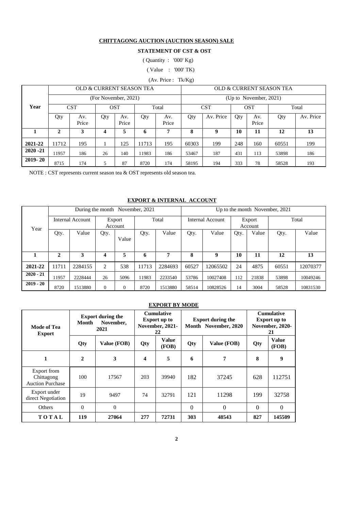#### **CHITTAGONG AUCTION (AUCTION SEASON) SALE**

#### **STATEMENT OF CST & OST**

( Quantity : '000' Kg)

( Value : '000' TK)

(Av. Price : Tk/Kg)

|             |          |              |                      |              | OLD & CURRENT SEASON TEA |              | OLD & CURRENT SEASON TEA |           |     |                           |       |           |
|-------------|----------|--------------|----------------------|--------------|--------------------------|--------------|--------------------------|-----------|-----|---------------------------|-------|-----------|
|             |          |              | (For November, 2021) |              |                          |              |                          |           |     | (Up to November, $2021$ ) |       |           |
| Year        |          | <b>CST</b>   |                      | <b>OST</b>   |                          | Total        | <b>CST</b><br><b>OST</b> |           |     | Total                     |       |           |
|             | Qty      | Av.<br>Price | Qty                  | Av.<br>Price | Qty                      | Av.<br>Price | Qty                      | Av. Price | Qty | Av.<br>Price              | Qty   | Av. Price |
|             | $\gamma$ | 3            | 4                    | 5            | 6                        | 7            | 8                        | 9         | 10  | 11                        | 12    | 13        |
| 2021-22     | 11712    | 195          |                      | 125          | 11713                    | 195          | 60303                    | 199       | 248 | 160                       | 60551 | 199       |
| $2020 - 21$ | 11957    | 186          | 26                   | 140          | 11983                    | 186          | 53467                    | 187       | 431 | 113                       | 53898 | 186       |
| $2019 - 20$ | 8715     | 174          | 5                    | 87           | 8720                     | 174          | 58195                    | 194       | 333 | 78                        | 58528 | 193       |

NOTE : CST represents current season tea & OST represents old season tea.

#### **EXPORT & INTERNAL ACCOUNT**

|             |       |                         |                   |              | During the month November, 2021 |         | Up to the month November, 2021 |          |                   |       |       |          |
|-------------|-------|-------------------------|-------------------|--------------|---------------------------------|---------|--------------------------------|----------|-------------------|-------|-------|----------|
| Year        |       | <b>Internal Account</b> | Export<br>Account |              | Total                           |         | Internal Account               |          | Export<br>Account |       | Total |          |
|             | Qty.  | Value                   | Qty.              | Value        | Qty.                            | Value   | Qty.                           | Value    | Qty.              | Value | Qty.  | Value    |
|             | 2     | 3                       | 4                 | 5            | 6                               | 7       | 8                              | 9        | 10                | 11    | 12    | 13       |
| 2021-22     | 11711 | 2284155                 | 2                 | 538          | 11713                           | 2284693 | 60527                          | 12065502 | 24                | 4875  | 60551 | 12070377 |
| $2020 - 21$ | 11957 | 2228444                 | 26                | 5096         | 11983                           | 2233540 | 53786                          | 10027408 | 112               | 21838 | 53898 | 10049246 |
| $2019 - 20$ | 8720  | 1513880                 | $\mathbf{0}$      | $\mathbf{0}$ | 8720                            | 1513880 | 58514                          | 10828526 | 14                | 3004  | 58528 | 10831530 |

#### **EXPORT BY MODE**

| Mode of Tea<br><b>Export</b>                         | Month        | <b>Export during the</b><br>November,<br>2021 |                         | <b>Cumulative</b><br><b>Export up to</b><br>November, 2021-<br>22 |     | <b>Export during the</b><br>Month November, 2020 | <b>Cumulative</b><br><b>Export up to</b><br>November, 2020-<br>21 |                |  |
|------------------------------------------------------|--------------|-----------------------------------------------|-------------------------|-------------------------------------------------------------------|-----|--------------------------------------------------|-------------------------------------------------------------------|----------------|--|
|                                                      | Qty          | Value (FOB)                                   |                         | Value<br>(FOB)                                                    | Qty | Value (FOB)                                      | Qty                                                               | Value<br>(FOB) |  |
| 1                                                    | $\mathbf{2}$ | 3                                             | $\overline{\mathbf{4}}$ | 5                                                                 | 6   | 7                                                |                                                                   | 9              |  |
| Export from<br>Chittagong<br><b>Auction Purchase</b> | 100          | 17567                                         | 203                     | 39940                                                             | 182 | 37245                                            | 628                                                               | 112751         |  |
| Export under<br>direct Negotiation                   | 19           | 9497                                          | 74                      | 32791                                                             | 121 | 11298                                            | 199                                                               | 32758          |  |
| Others                                               | $\Omega$     | $\theta$                                      | $\Omega$<br>$\Omega$    |                                                                   |     | $\Omega$                                         | $\Omega$                                                          |                |  |
| TOTAL                                                | 119          | 27064<br>277<br>303<br>48543<br>72731         |                         |                                                                   | 827 | 145509                                           |                                                                   |                |  |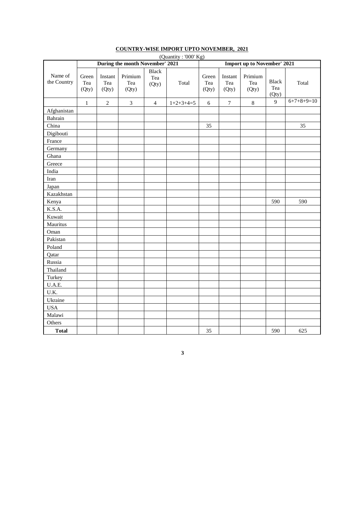|                        | (Quantity: '000' Kg)<br>During the month November' 2021<br>Import up to November' 2021 |                         |                         |                              |             |                       |                         |                         |                              |              |  |
|------------------------|----------------------------------------------------------------------------------------|-------------------------|-------------------------|------------------------------|-------------|-----------------------|-------------------------|-------------------------|------------------------------|--------------|--|
|                        |                                                                                        |                         |                         |                              |             |                       |                         |                         |                              |              |  |
| Name of<br>the Country | Green<br>Tea<br>(Qty)                                                                  | Instant<br>Tea<br>(Qty) | Primium<br>Tea<br>(Qty) | <b>Black</b><br>Tea<br>(Qty) | Total       | Green<br>Tea<br>(Qty) | Instant<br>Tea<br>(Qty) | Primium<br>Tea<br>(Qty) | <b>Black</b><br>Tea<br>(Qty) | Total        |  |
|                        | $\mathbf{1}$                                                                           | $\overline{2}$          | $\mathfrak{Z}$          | $\overline{4}$               | $1+2+3+4=5$ | 6                     | $\boldsymbol{7}$        | $\,8\,$                 | 9                            | $6+7+8+9=10$ |  |
| Afghanistan            |                                                                                        |                         |                         |                              |             |                       |                         |                         |                              |              |  |
| Bahrain                |                                                                                        |                         |                         |                              |             |                       |                         |                         |                              |              |  |
| China                  |                                                                                        |                         |                         |                              |             | 35                    |                         |                         |                              | 35           |  |
| Digibouti              |                                                                                        |                         |                         |                              |             |                       |                         |                         |                              |              |  |
| France                 |                                                                                        |                         |                         |                              |             |                       |                         |                         |                              |              |  |
| Germany                |                                                                                        |                         |                         |                              |             |                       |                         |                         |                              |              |  |
| Ghana                  |                                                                                        |                         |                         |                              |             |                       |                         |                         |                              |              |  |
| Greece                 |                                                                                        |                         |                         |                              |             |                       |                         |                         |                              |              |  |
| India                  |                                                                                        |                         |                         |                              |             |                       |                         |                         |                              |              |  |
| Iran                   |                                                                                        |                         |                         |                              |             |                       |                         |                         |                              |              |  |
| Japan                  |                                                                                        |                         |                         |                              |             |                       |                         |                         |                              |              |  |
| Kazakhstan             |                                                                                        |                         |                         |                              |             |                       |                         |                         |                              |              |  |
| Kenya                  |                                                                                        |                         |                         |                              |             |                       |                         |                         | 590                          | 590          |  |
| K.S.A.                 |                                                                                        |                         |                         |                              |             |                       |                         |                         |                              |              |  |
| Kuwait                 |                                                                                        |                         |                         |                              |             |                       |                         |                         |                              |              |  |
| Mauritus               |                                                                                        |                         |                         |                              |             |                       |                         |                         |                              |              |  |
| Oman                   |                                                                                        |                         |                         |                              |             |                       |                         |                         |                              |              |  |
| Pakistan               |                                                                                        |                         |                         |                              |             |                       |                         |                         |                              |              |  |
| Poland                 |                                                                                        |                         |                         |                              |             |                       |                         |                         |                              |              |  |
| Qatar                  |                                                                                        |                         |                         |                              |             |                       |                         |                         |                              |              |  |
| Russia                 |                                                                                        |                         |                         |                              |             |                       |                         |                         |                              |              |  |
| Thailand               |                                                                                        |                         |                         |                              |             |                       |                         |                         |                              |              |  |
| Turkey                 |                                                                                        |                         |                         |                              |             |                       |                         |                         |                              |              |  |
| U.A.E.                 |                                                                                        |                         |                         |                              |             |                       |                         |                         |                              |              |  |
| U.K.                   |                                                                                        |                         |                         |                              |             |                       |                         |                         |                              |              |  |
| Ukraine                |                                                                                        |                         |                         |                              |             |                       |                         |                         |                              |              |  |
| <b>USA</b>             |                                                                                        |                         |                         |                              |             |                       |                         |                         |                              |              |  |
| Malawi                 |                                                                                        |                         |                         |                              |             |                       |                         |                         |                              |              |  |
| Others                 |                                                                                        |                         |                         |                              |             |                       |                         |                         |                              |              |  |
| <b>Total</b>           |                                                                                        |                         |                         |                              |             | 35                    |                         |                         | 590                          | 625          |  |

#### **COUNTRY-WISE IMPORT UPTO NOVEMBER, 2021**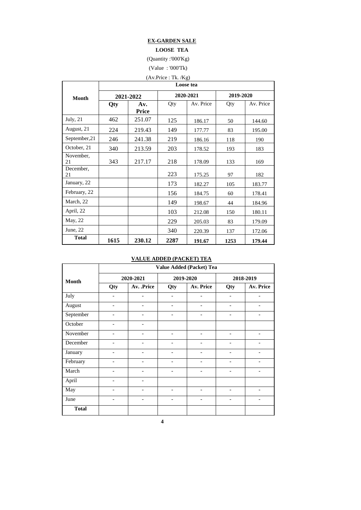#### **EX-GARDEN SALE**

#### **LOOSE TEA**

#### (Quantity :'000'Kg)

(Value : '000'Tk)

## (Av.Price : Tk. /Kg)

|                 | Loose tea |                     |      |           |           |           |  |  |  |  |  |  |
|-----------------|-----------|---------------------|------|-----------|-----------|-----------|--|--|--|--|--|--|
| <b>Month</b>    |           | 2021-2022           |      | 2020-2021 | 2019-2020 |           |  |  |  |  |  |  |
|                 | Qty       | Av.<br><b>Price</b> | Qty  | Av. Price | Qty       | Av. Price |  |  |  |  |  |  |
| July, 21        | 462       | 251.07              | 125  | 186.17    | 50        | 144.60    |  |  |  |  |  |  |
| August, 21      | 224       | 219.43              | 149  | 177.77    | 83        | 195.00    |  |  |  |  |  |  |
| September, 21   | 246       | 241.38              | 219  | 186.16    | 118       | 190       |  |  |  |  |  |  |
| October, 21     | 340       | 213.59              | 203  | 178.52    | 193       | 183       |  |  |  |  |  |  |
| November,<br>21 | 343       | 217.17              | 218  | 178.09    | 133       | 169       |  |  |  |  |  |  |
| December,<br>21 |           |                     | 223  | 175.25    | 97        | 182       |  |  |  |  |  |  |
| January, 22     |           |                     | 173  | 182.27    | 105       | 183.77    |  |  |  |  |  |  |
| February, 22    |           |                     | 156  | 184.75    | 60        | 178.41    |  |  |  |  |  |  |
| March, 22       |           |                     | 149  | 198.67    | 44        | 184.96    |  |  |  |  |  |  |
| April, 22       |           |                     | 103  | 212.08    | 150       | 180.11    |  |  |  |  |  |  |
| May, 22         |           |                     | 229  | 205.03    | 83        | 179.09    |  |  |  |  |  |  |
| June, $22$      |           |                     | 340  | 220.39    | 137       | 172.06    |  |  |  |  |  |  |
| <b>Total</b>    | 1615      | 230.12              | 2287 | 191.67    | 1253      | 179.44    |  |  |  |  |  |  |

#### **VALUE ADDED (PACKET) TEA**

|              |                          |                              |                          | Value Added (Packet) Tea |                              |                          |
|--------------|--------------------------|------------------------------|--------------------------|--------------------------|------------------------------|--------------------------|
| <b>Month</b> |                          | 2020-2021                    |                          | 2019-2020                |                              | 2018-2019                |
|              | Qty                      | Av. .Price                   | Qty                      | Av. Price                | Qty                          | Av. Price                |
| July         | $\overline{\phantom{0}}$ | $\overline{\phantom{a}}$     | $\overline{\phantom{a}}$ | $\overline{\phantom{a}}$ | $\overline{\phantom{a}}$     | $\overline{\phantom{0}}$ |
| August       | $\qquad \qquad$          | -                            | $\qquad \qquad$          | $\overline{a}$           | $\qquad \qquad \blacksquare$ | $\overline{\phantom{0}}$ |
| September    | $\overline{a}$           | $\overline{\phantom{0}}$     |                          |                          |                              |                          |
| October      | $\overline{\phantom{0}}$ | $\overline{\phantom{a}}$     |                          |                          |                              |                          |
| November     |                          | -                            | $\qquad \qquad$          | $\qquad \qquad$          |                              |                          |
| December     |                          | $\overline{\phantom{0}}$     |                          | $\overline{a}$           |                              |                          |
| January      | $\overline{\phantom{0}}$ | $\overline{\phantom{a}}$     | $\overline{\phantom{a}}$ | $\overline{\phantom{a}}$ | $\overline{\phantom{a}}$     | -                        |
| February     |                          | $\qquad \qquad \blacksquare$ |                          | $\overline{a}$           | -                            | $\overline{\phantom{0}}$ |
| March        | $\qquad \qquad$          | $\overline{\phantom{0}}$     | $\qquad \qquad -$        | $\overline{a}$           | $\overline{a}$               | $\qquad \qquad -$        |
| April        | $\overline{\phantom{a}}$ | $\overline{\phantom{a}}$     |                          |                          |                              |                          |
| May          |                          | -                            |                          |                          |                              |                          |
| June         | $\qquad \qquad -$        | $\overline{\phantom{a}}$     | $\qquad \qquad -$        | $\overline{\phantom{0}}$ | $\qquad \qquad -$            | $\overline{\phantom{0}}$ |
| <b>Total</b> |                          |                              |                          |                          |                              |                          |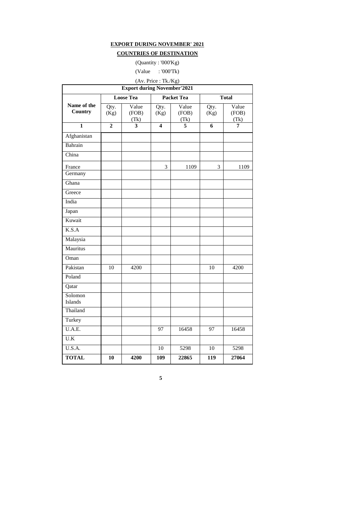#### **EXPORT DURING NOVEMBER' 2021**

#### **COUNTRIES OF DESTINATION**

(Quantity : '000'Kg)

(Value : '000'Tk)

|                        |                | <b>Export during November'2021</b> | (Av. Price: Tk./Kg)     |                        |                  |                        |
|------------------------|----------------|------------------------------------|-------------------------|------------------------|------------------|------------------------|
|                        |                | <b>Loose Tea</b>                   |                         | <b>Packet Tea</b>      |                  | <b>Total</b>           |
| Name of the<br>Country | Qty.<br>(Kg)   | Value<br>(FOB)<br>(Tk)             | Qty.<br>(Kg)            | Value<br>(FOB)<br>(Tk) | Qty.<br>(Kg)     | Value<br>(FOB)<br>(Tk) |
| $\mathbf{1}$           | $\overline{2}$ | 3                                  | $\overline{\mathbf{4}}$ | 5                      | 6                | 7                      |
| Afghanistan            |                |                                    |                         |                        |                  |                        |
| Bahrain                |                |                                    |                         |                        |                  |                        |
| China                  |                |                                    |                         |                        |                  |                        |
| France                 |                |                                    | 3                       | 1109                   | 3                | 1109                   |
| Germany                |                |                                    |                         |                        |                  |                        |
| Ghana                  |                |                                    |                         |                        |                  |                        |
| Greece                 |                |                                    |                         |                        |                  |                        |
| India                  |                |                                    |                         |                        |                  |                        |
| Japan                  |                |                                    |                         |                        |                  |                        |
| Kuwait                 |                |                                    |                         |                        |                  |                        |
| K.S.A                  |                |                                    |                         |                        |                  |                        |
| Malaysia               |                |                                    |                         |                        |                  |                        |
| Mauritus               |                |                                    |                         |                        |                  |                        |
| Oman                   |                |                                    |                         |                        |                  |                        |
| Pakistan               | 10             | 4200                               |                         |                        | 10               | 4200                   |
| Poland                 |                |                                    |                         |                        |                  |                        |
| Qatar                  |                |                                    |                         |                        |                  |                        |
| Solomon<br>Islands     |                |                                    |                         |                        |                  |                        |
| Thailand               |                |                                    |                         |                        |                  |                        |
| Turkey                 |                |                                    |                         |                        |                  |                        |
| U.A.E.                 |                |                                    | 97                      | 16458                  | 97               | 16458                  |
| U.K                    |                |                                    |                         |                        |                  |                        |
| U.S.A.                 |                |                                    | 10                      | 5298                   | 10               | 5298                   |
| <b>TOTAL</b>           | 10             | 4200                               | 109                     | 22865                  | $\overline{119}$ | 27064                  |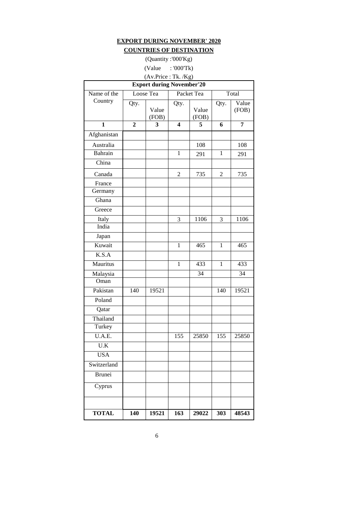## **EXPORT DURING NOVEMBER' 2020 COUNTRIES OF DESTINATION**

(Quantity :'000'Kg)

## (Value : '000'Tk)

# (Av.Price : Tk. /Kg)

| <b>Export during November'20</b> |                |                |                         |                |                |                |  |  |  |  |
|----------------------------------|----------------|----------------|-------------------------|----------------|----------------|----------------|--|--|--|--|
| Name of the                      |                | Loose Tea      |                         | Packet Tea     |                | Total          |  |  |  |  |
| Country                          | Qty.           | Value<br>(FOB) | Qty.                    | Value<br>(FOB) | Qty.           | Value<br>(FOB) |  |  |  |  |
| $\mathbf{1}$                     | $\overline{2}$ | 3              | $\overline{\mathbf{4}}$ | 5              | 6              | 7              |  |  |  |  |
| Afghanistan                      |                |                |                         |                |                |                |  |  |  |  |
| Australia                        |                |                |                         | 108            |                | 108            |  |  |  |  |
| Bahrain                          |                |                | $\mathbf{1}$            | 291            | $\mathbf{1}$   | 291            |  |  |  |  |
| China                            |                |                |                         |                |                |                |  |  |  |  |
| Canada                           |                |                | 2                       | 735            | $\overline{2}$ | 735            |  |  |  |  |
| France                           |                |                |                         |                |                |                |  |  |  |  |
| Germany                          |                |                |                         |                |                |                |  |  |  |  |
| Ghana                            |                |                |                         |                |                |                |  |  |  |  |
| Greece                           |                |                |                         |                |                |                |  |  |  |  |
| Italy                            |                |                | 3                       | 1106           | 3              | 1106           |  |  |  |  |
| India                            |                |                |                         |                |                |                |  |  |  |  |
| Japan                            |                |                |                         |                |                |                |  |  |  |  |
| Kuwait                           |                |                | $\mathbf{1}$            | 465            | $\mathbf{1}$   | 465            |  |  |  |  |
| K.S.A                            |                |                |                         |                |                |                |  |  |  |  |
| Mauritus                         |                |                | $\mathbf{1}$            | 433            | $\mathbf{1}$   | 433            |  |  |  |  |
| Malaysia                         |                |                |                         | 34             |                | 34             |  |  |  |  |
| Oman                             |                |                |                         |                |                |                |  |  |  |  |
| Pakistan                         | 140            | 19521          |                         |                | 140            | 19521          |  |  |  |  |
| Poland                           |                |                |                         |                |                |                |  |  |  |  |
| Qatar                            |                |                |                         |                |                |                |  |  |  |  |
| Thailand                         |                |                |                         |                |                |                |  |  |  |  |
| Turkey                           |                |                |                         |                |                |                |  |  |  |  |
| U.A.E.                           |                |                | 155                     | 25850          | 155            | 25850          |  |  |  |  |
| $\overline{U.K}$                 |                |                |                         |                |                |                |  |  |  |  |
| <b>USA</b>                       |                |                |                         |                |                |                |  |  |  |  |
| Switzerland                      |                |                |                         |                |                |                |  |  |  |  |
| <b>Brunei</b>                    |                |                |                         |                |                |                |  |  |  |  |
| Cyprus                           |                |                |                         |                |                |                |  |  |  |  |
|                                  |                |                |                         |                |                |                |  |  |  |  |
| <b>TOTAL</b>                     | 140            | 19521          | 163                     | 29022          | 303            | 48543          |  |  |  |  |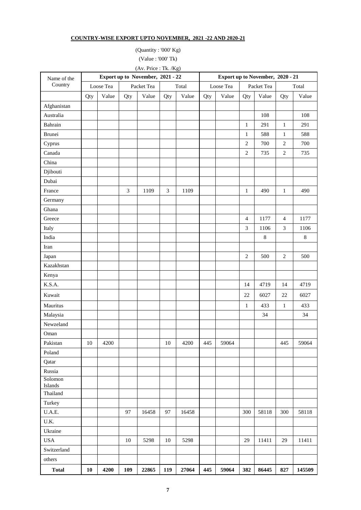#### **COUNTRY-WISE EXPORT UPTO NOVEMBER, 2021 -22 AND 2020-21**

(Quantity : '000' Kg) (Value : '000' Tk)

(Av. Price : Tk. /Kg)

| Name of the        |        |           |                | Export up to November, 2021 - 22 |                             |       |     | Export up to November, 2020 - 21 |                |            |                |         |
|--------------------|--------|-----------|----------------|----------------------------------|-----------------------------|-------|-----|----------------------------------|----------------|------------|----------------|---------|
| Country            |        | Loose Tea |                | Packet Tea                       |                             | Total |     | Loose Tea                        |                | Packet Tea |                | Total   |
|                    | Qty    | Value     | Qty            | Value                            | Qty                         | Value | Qty | Value                            | Qty            | Value      | Qty            | Value   |
| Afghanistan        |        |           |                |                                  |                             |       |     |                                  |                |            |                |         |
| Australia          |        |           |                |                                  |                             |       |     |                                  |                | 108        |                | 108     |
| Bahrain            |        |           |                |                                  |                             |       |     |                                  | $\mathbf{1}$   | 291        | $\mathbf{1}$   | 291     |
| Brunei             |        |           |                |                                  |                             |       |     |                                  | $\mathbf{1}$   | 588        | $\mathbf{1}$   | 588     |
| Cyprus             |        |           |                |                                  |                             |       |     |                                  | $\overline{2}$ | 700        | $\overline{2}$ | 700     |
| Canada             |        |           |                |                                  |                             |       |     |                                  | $\overline{2}$ | 735        | $\sqrt{2}$     | 735     |
| China              |        |           |                |                                  |                             |       |     |                                  |                |            |                |         |
| Djibouti           |        |           |                |                                  |                             |       |     |                                  |                |            |                |         |
| Dubai              |        |           |                |                                  |                             |       |     |                                  |                |            |                |         |
| France             |        |           | $\mathfrak{Z}$ | 1109                             | $\boldsymbol{\mathfrak{Z}}$ | 1109  |     |                                  | $\mathbf{1}$   | 490        | $\mathbf{1}$   | 490     |
| Germany            |        |           |                |                                  |                             |       |     |                                  |                |            |                |         |
| Ghana              |        |           |                |                                  |                             |       |     |                                  |                |            |                |         |
| Greece             |        |           |                |                                  |                             |       |     |                                  | $\overline{4}$ | 1177       | $\overline{4}$ | 1177    |
| Italy              |        |           |                |                                  |                             |       |     |                                  | 3              | 1106       | 3              | 1106    |
| India              |        |           |                |                                  |                             |       |     |                                  |                | $\,8\,$    |                | $\,8\,$ |
| Iran               |        |           |                |                                  |                             |       |     |                                  |                |            |                |         |
| Japan              |        |           |                |                                  |                             |       |     |                                  | $\overline{2}$ | 500        | $\overline{2}$ | 500     |
| Kazakhstan         |        |           |                |                                  |                             |       |     |                                  |                |            |                |         |
| Kenya              |        |           |                |                                  |                             |       |     |                                  |                |            |                |         |
| K.S.A.             |        |           |                |                                  |                             |       |     |                                  | 14             | 4719       | 14             | 4719    |
| Kuwait             |        |           |                |                                  |                             |       |     |                                  | 22             | 6027       | $22\,$         | 6027    |
| Mauritus           |        |           |                |                                  |                             |       |     |                                  | $\mathbf{1}$   | 433        | $\mathbf{1}$   | 433     |
| Malaysia           |        |           |                |                                  |                             |       |     |                                  |                | 34         |                | 34      |
| Newzeland          |        |           |                |                                  |                             |       |     |                                  |                |            |                |         |
| Oman               |        |           |                |                                  |                             |       |     |                                  |                |            |                |         |
| Pakistan           | $10\,$ | 4200      |                |                                  | $10\,$                      | 4200  | 445 | 59064                            |                |            | 445            | 59064   |
| Poland             |        |           |                |                                  |                             |       |     |                                  |                |            |                |         |
| Qatar              |        |           |                |                                  |                             |       |     |                                  |                |            |                |         |
| Russia             |        |           |                |                                  |                             |       |     |                                  |                |            |                |         |
| Solomon<br>Islands |        |           |                |                                  |                             |       |     |                                  |                |            |                |         |
| Thailand           |        |           |                |                                  |                             |       |     |                                  |                |            |                |         |
| Turkey             |        |           |                |                                  |                             |       |     |                                  |                |            |                |         |
| U.A.E.             |        |           | 97             | 16458                            | 97                          | 16458 |     |                                  | 300            | 58118      | 300            | 58118   |
| U.K.               |        |           |                |                                  |                             |       |     |                                  |                |            |                |         |
| Ukraine            |        |           |                |                                  |                             |       |     |                                  |                |            |                |         |
| <b>USA</b>         |        |           | 10             | 5298                             | 10                          | 5298  |     |                                  | 29             | 11411      | 29             | 11411   |
| Switzerland        |        |           |                |                                  |                             |       |     |                                  |                |            |                |         |
| others             |        |           |                |                                  |                             |       |     |                                  |                |            |                |         |
| <b>Total</b>       | 10     | 4200      | 109            | 22865                            | 119                         | 27064 | 445 | 59064                            | 382            | 86445      | 827            | 145509  |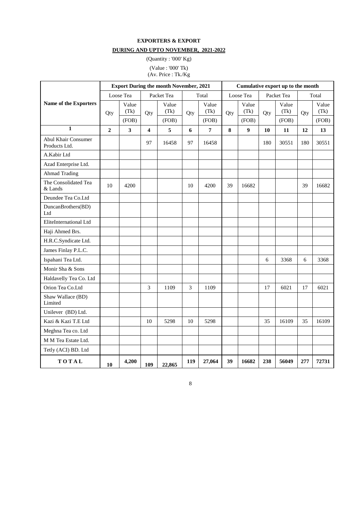### **EXPORTERS & EXPORT DURING AND UPTO NOVEMBER, 2021-2022**

(Quantity : '000' Kg) (Value : '000' Tk)

(Av. Price : Tk./Kg

|                                             |              |                         |                         | <b>Export During the month November, 2021</b> |     |                |     |                  |     | Cumulative export up to the month |     |               |
|---------------------------------------------|--------------|-------------------------|-------------------------|-----------------------------------------------|-----|----------------|-----|------------------|-----|-----------------------------------|-----|---------------|
|                                             |              | Loose Tea               |                         | Packet Tea                                    |     | Total          |     | Loose Tea        |     | Packet Tea                        |     | Total         |
| Name of the Exporters                       | Qty          | Value<br>(Tk)           | Qty                     | Value<br>(Tk)                                 | Qty | Value<br>(Tk)  | Qty | Value<br>(Tk)    | Qty | Value<br>(Tk)                     | Qty | Value<br>(Tk) |
| $\mathbf{1}$                                |              | (FOB)                   |                         | (FOB)                                         |     | (FOB)          |     | (FOB)            |     | (FOB)                             |     | (FOB)         |
|                                             | $\mathbf{2}$ | $\overline{\mathbf{3}}$ | $\overline{\mathbf{4}}$ | 5                                             | 6   | $\overline{7}$ | 8   | $\boldsymbol{9}$ | 10  | 11                                | 12  | 13            |
| <b>Abul Khair Consumer</b><br>Products Ltd. |              |                         | 97                      | 16458                                         | 97  | 16458          |     |                  | 180 | 30551                             | 180 | 30551         |
| A.Kabir Ltd                                 |              |                         |                         |                                               |     |                |     |                  |     |                                   |     |               |
| Azad Enterprise Ltd.                        |              |                         |                         |                                               |     |                |     |                  |     |                                   |     |               |
| <b>Ahmad Trading</b>                        |              |                         |                         |                                               |     |                |     |                  |     |                                   |     |               |
| The Consolidated Tea<br>& Lands             | 10           | 4200                    |                         |                                               | 10  | 4200           | 39  | 16682            |     |                                   | 39  | 16682         |
| Deundee Tea Co.Ltd                          |              |                         |                         |                                               |     |                |     |                  |     |                                   |     |               |
| DuncanBrothers(BD)<br>Ltd                   |              |                         |                         |                                               |     |                |     |                  |     |                                   |     |               |
| EliteInternational Ltd                      |              |                         |                         |                                               |     |                |     |                  |     |                                   |     |               |
| Haji Ahmed Brs.                             |              |                         |                         |                                               |     |                |     |                  |     |                                   |     |               |
| H.R.C.Syndicate Ltd.                        |              |                         |                         |                                               |     |                |     |                  |     |                                   |     |               |
| James Finlay P.L.C.                         |              |                         |                         |                                               |     |                |     |                  |     |                                   |     |               |
| Ispahani Tea Ltd.                           |              |                         |                         |                                               |     |                |     |                  | 6   | 3368                              | 6   | 3368          |
| Monir Sha & Sons                            |              |                         |                         |                                               |     |                |     |                  |     |                                   |     |               |
| Haldavelly Tea Co. Ltd                      |              |                         |                         |                                               |     |                |     |                  |     |                                   |     |               |
| Orion Tea Co.Ltd                            |              |                         | $\overline{3}$          | 1109                                          | 3   | 1109           |     |                  | 17  | 6021                              | 17  | 6021          |
| Shaw Wallace (BD)<br>Limited                |              |                         |                         |                                               |     |                |     |                  |     |                                   |     |               |
| Unilever (BD) Ltd.                          |              |                         |                         |                                               |     |                |     |                  |     |                                   |     |               |
| Kazi & Kazi T.E Ltd                         |              |                         | 10                      | 5298                                          | 10  | 5298           |     |                  | 35  | 16109                             | 35  | 16109         |
| Meghna Tea co. Ltd                          |              |                         |                         |                                               |     |                |     |                  |     |                                   |     |               |
| M M Tea Estate Ltd.                         |              |                         |                         |                                               |     |                |     |                  |     |                                   |     |               |
| Tetly (ACI) BD. Ltd                         |              |                         |                         |                                               |     |                |     |                  |     |                                   |     |               |
| TOTAL                                       | 10           | 4,200                   | 109                     | 22,865                                        | 119 | 27,064         | 39  | 16682            | 238 | 56049                             | 277 | 72731         |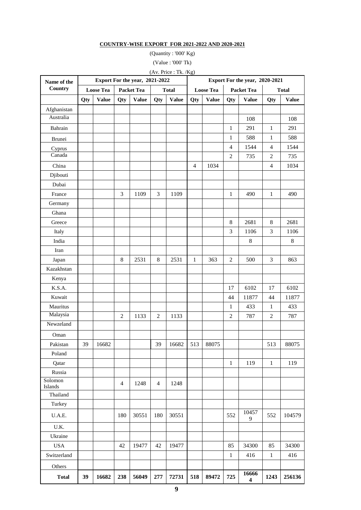#### **COUNTRY-WISE EXPORT FOR 2021-2022 AND 2020-2021**

(Quantity : '000' Kg) (Value : '000' Tk)

(Av. Price : Tk. /Kg)

| Name of the         |     |                  |                                   | Export For the year, 2021-2022 |                |              | Export For the year, 2020-2021 |              |                                   |              |                |              |
|---------------------|-----|------------------|-----------------------------------|--------------------------------|----------------|--------------|--------------------------------|--------------|-----------------------------------|--------------|----------------|--------------|
| Country             |     | <b>Loose Tea</b> | <b>Packet Tea</b><br><b>Total</b> |                                |                |              | <b>Loose Tea</b>               |              | <b>Packet Tea</b><br><b>Total</b> |              |                |              |
|                     | Qty | <b>Value</b>     | Qty                               | <b>Value</b>                   | Qty            | <b>Value</b> | Qty                            | <b>Value</b> | Qty                               | <b>Value</b> | Qty            | <b>Value</b> |
| Afghanistan         |     |                  |                                   |                                |                |              |                                |              |                                   |              |                |              |
| Australia           |     |                  |                                   |                                |                |              |                                |              |                                   | 108          |                | 108          |
| Bahrain             |     |                  |                                   |                                |                |              |                                |              | 1                                 | 291          | $\mathbf{1}$   | 291          |
| <b>Brunei</b>       |     |                  |                                   |                                |                |              |                                |              | $\mathbf{1}$                      | 588          | $\mathbf{1}$   | 588          |
| Cyprus              |     |                  |                                   |                                |                |              |                                |              | $\overline{4}$                    | 1544         | $\overline{4}$ | 1544         |
| Canada              |     |                  |                                   |                                |                |              |                                |              | $\overline{2}$                    | 735          | $\mathbf{2}$   | 735          |
| China               |     |                  |                                   |                                |                |              | $\overline{4}$                 | 1034         |                                   |              | $\overline{4}$ | 1034         |
| Djibouti            |     |                  |                                   |                                |                |              |                                |              |                                   |              |                |              |
| Dubai               |     |                  |                                   |                                |                |              |                                |              |                                   |              |                |              |
| France              |     |                  | 3                                 | 1109                           | 3              | 1109         |                                |              | $\mathbf{1}$                      | 490          | $\mathbf{1}$   | 490          |
| Germany             |     |                  |                                   |                                |                |              |                                |              |                                   |              |                |              |
| Ghana               |     |                  |                                   |                                |                |              |                                |              |                                   |              |                |              |
| Greece              |     |                  |                                   |                                |                |              |                                |              | 8                                 | 2681         | 8              | 2681         |
| Italy               |     |                  |                                   |                                |                |              |                                |              | 3                                 | 1106         | $\overline{3}$ | 1106         |
| India               |     |                  |                                   |                                |                |              |                                |              |                                   | $8\,$        |                | $\,8$        |
| Iran                |     |                  |                                   |                                |                |              |                                |              |                                   |              |                |              |
| Japan               |     |                  | $\,8\,$                           | 2531                           | $\,8\,$        | 2531         | $\mathbf{1}$                   | 363          | $\overline{2}$                    | 500          | 3              | 863          |
| Kazakhstan          |     |                  |                                   |                                |                |              |                                |              |                                   |              |                |              |
| Kenya               |     |                  |                                   |                                |                |              |                                |              |                                   |              |                |              |
| K.S.A.              |     |                  |                                   |                                |                |              |                                |              | 17                                | 6102         | 17             | 6102         |
| Kuwait              |     |                  |                                   |                                |                |              |                                |              | 44                                | 11877        | 44             | 11877        |
| Mauritus            |     |                  |                                   |                                |                |              |                                |              | $\mathbf{1}$                      | 433          | $\mathbf{1}$   | 433          |
| Malaysia            |     |                  | $\overline{2}$                    | 1133                           | $\overline{2}$ | 1133         |                                |              | $\overline{2}$                    | 787          | $\overline{2}$ | 787          |
| Newzeland           |     |                  |                                   |                                |                |              |                                |              |                                   |              |                |              |
| Oman                |     |                  |                                   |                                |                |              |                                |              |                                   |              |                |              |
| Pakistan            | 39  | 16682            |                                   |                                | 39             | 16682        | 513                            | 88075        |                                   |              | 513            | 88075        |
| Poland              |     |                  |                                   |                                |                |              |                                |              |                                   |              |                |              |
| Qatar               |     |                  |                                   |                                |                |              |                                |              | $\mathbf{1}$                      | 119          | $\mathbf{1}$   | 119          |
| Russia              |     |                  |                                   |                                |                |              |                                |              |                                   |              |                |              |
| Solomon             |     |                  | 4                                 | 1248                           | $\overline{4}$ | 1248         |                                |              |                                   |              |                |              |
| Islands<br>Thailand |     |                  |                                   |                                |                |              |                                |              |                                   |              |                |              |
| Turkey              |     |                  |                                   |                                |                |              |                                |              |                                   |              |                |              |
|                     |     |                  |                                   |                                |                |              |                                |              |                                   | 10457        |                |              |
| U.A.E.              |     |                  | 180                               | 30551                          | 180            | 30551        |                                |              | 552                               | 9            | 552            | 104579       |
| U.K.                |     |                  |                                   |                                |                |              |                                |              |                                   |              |                |              |
| Ukraine             |     |                  |                                   |                                |                |              |                                |              |                                   |              |                |              |
| <b>USA</b>          |     |                  | 42                                | 19477                          | 42             | 19477        |                                |              | 85                                | 34300        | 85             | 34300        |
| Switzerland         |     |                  |                                   |                                |                |              |                                |              | $\mathbf{1}$                      | 416          | $\mathbf{1}$   | 416          |
| Others              |     |                  |                                   |                                |                |              |                                |              |                                   |              |                |              |
| <b>Total</b>        | 39  | 16682            | 238                               | 56049                          | 277            | 72731        | 518                            | 89472        | 725                               | 16666<br>4   | 1243           | 256136       |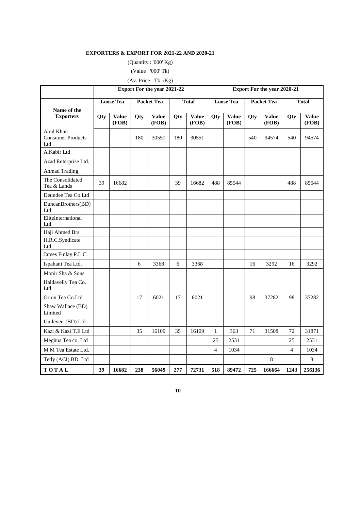#### **EXPORTERS & EXPORT FOR 2021-22 AND 2020-21**

(Quantity : '000' Kg)

(Value : '000' Tk)

(Av. Price : Tk. /Kg)

|                                               | <b>Export For the year 2021-22</b> |                       |                   |                       |              |                       | <b>Export For the year 2020-21</b> |                       |                   |                       |                |                       |
|-----------------------------------------------|------------------------------------|-----------------------|-------------------|-----------------------|--------------|-----------------------|------------------------------------|-----------------------|-------------------|-----------------------|----------------|-----------------------|
|                                               | <b>Loose Tea</b>                   |                       | <b>Packet Tea</b> |                       | <b>Total</b> |                       | <b>Loose Tea</b>                   |                       | <b>Packet Tea</b> |                       | <b>Total</b>   |                       |
| Name of the<br><b>Exporters</b>               | Qty                                | <b>Value</b><br>(FOB) | Qty               | <b>Value</b><br>(FOB) | Qty          | <b>Value</b><br>(FOB) | Qty                                | <b>Value</b><br>(FOB) | Qty               | <b>Value</b><br>(FOB) | Qty            | <b>Value</b><br>(FOB) |
| Abul Khair<br><b>Consumer Products</b><br>Ltd |                                    |                       | 180               | 30551                 | 180          | 30551                 |                                    |                       | 540               | 94574                 | 540            | 94574                 |
| A.Kabir Ltd                                   |                                    |                       |                   |                       |              |                       |                                    |                       |                   |                       |                |                       |
| Azad Enterprise Ltd.                          |                                    |                       |                   |                       |              |                       |                                    |                       |                   |                       |                |                       |
| <b>Ahmad Trading</b>                          |                                    |                       |                   |                       |              |                       |                                    |                       |                   |                       |                |                       |
| The Consolidated<br>Tea & Lands               | 39                                 | 16682                 |                   |                       | 39           | 16682                 | 488                                | 85544                 |                   |                       | 488            | 85544                 |
| Deundee Tea Co.Ltd                            |                                    |                       |                   |                       |              |                       |                                    |                       |                   |                       |                |                       |
| DuncanBrothers(BD)<br>Ltd                     |                                    |                       |                   |                       |              |                       |                                    |                       |                   |                       |                |                       |
| EliteInternational<br>${\rm Ltd}$             |                                    |                       |                   |                       |              |                       |                                    |                       |                   |                       |                |                       |
| Haji Ahmed Brs.                               |                                    |                       |                   |                       |              |                       |                                    |                       |                   |                       |                |                       |
| H.R.C.Syndicate<br>Ltd.                       |                                    |                       |                   |                       |              |                       |                                    |                       |                   |                       |                |                       |
| James Finlay P.L.C.                           |                                    |                       |                   |                       |              |                       |                                    |                       |                   |                       |                |                       |
| Ispahani Tea Ltd.                             |                                    |                       | 6                 | 3368                  | 6            | 3368                  |                                    |                       | 16                | 3292                  | 16             | 3292                  |
| Monir Sha & Sons                              |                                    |                       |                   |                       |              |                       |                                    |                       |                   |                       |                |                       |
| Haldavelly Tea Co.<br>Ltd                     |                                    |                       |                   |                       |              |                       |                                    |                       |                   |                       |                |                       |
| Orion Tea Co.Ltd                              |                                    |                       | 17                | 6021                  | 17           | 6021                  |                                    |                       | 98                | 37282                 | 98             | 37282                 |
| Shaw Wallace (BD)<br>Limited                  |                                    |                       |                   |                       |              |                       |                                    |                       |                   |                       |                |                       |
| Unilever (BD) Ltd.                            |                                    |                       |                   |                       |              |                       |                                    |                       |                   |                       |                |                       |
| Kazi & Kazi T.E Ltd                           |                                    |                       | 35                | 16109                 | 35           | 16109                 | $\mathbf{1}$                       | 363                   | 71                | 31508                 | 72             | 31871                 |
| Meghna Tea co. Ltd                            |                                    |                       |                   |                       |              |                       | 25                                 | 2531                  |                   |                       | 25             | 2531                  |
| M M Tea Estate Ltd.                           |                                    |                       |                   |                       |              |                       | $\overline{4}$                     | 1034                  |                   |                       | $\overline{4}$ | 1034                  |
| Tetly (ACI) BD. Ltd                           |                                    |                       |                   |                       |              |                       |                                    |                       |                   | 8                     |                | 8                     |
| TOTAL                                         | 39                                 | 16682                 | 238               | 56049                 | 277          | 72731                 | 518                                | 89472                 | 725               | 166664                | 1243           | 256136                |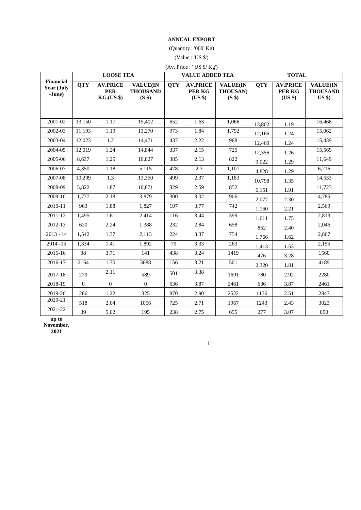#### **ANNUAL EXPORT**

(Quantity : '000' Kg)

(Value : 'US \$')

| (Av. Price : 'US \$/ Kg') |  |  |  |  |
|---------------------------|--|--|--|--|
|---------------------------|--|--|--|--|

|                                          |              | <b>LOOSE TEA</b>                                   |                                                         |            | <b>VALUE ADDED TEA</b>               |                                       | <b>TOTAL</b> |                                      |                                                |  |
|------------------------------------------|--------------|----------------------------------------------------|---------------------------------------------------------|------------|--------------------------------------|---------------------------------------|--------------|--------------------------------------|------------------------------------------------|--|
| <b>Financial</b><br>Year (July<br>-June) | <b>QTY</b>   | <b>AV.PRICE</b><br><b>PER</b><br><b>KG.(US \$)</b> | <b>VALUE(IN</b><br><b>THOUSAND</b><br>(S <sup>s</sup> ) | <b>QTY</b> | <b>AV.PRICE</b><br>PER KG<br>(US \$) | <b>VALUE(IN</b><br>THOUSAN)<br>(S \$) | <b>QTY</b>   | <b>AV.PRICE</b><br>PER KG<br>(US \$) | <b>VALUE(IN</b><br><b>THOUSAND</b><br>$US$ \$) |  |
|                                          |              |                                                    |                                                         |            |                                      |                                       |              |                                      |                                                |  |
| 2001-02                                  | 13,150       | 1.17                                               | 15,402                                                  | 652        | 1.63                                 | 1,066                                 | 13,802       | 1.19                                 | 16,468                                         |  |
| 2002-03                                  | 11,193       | 1.19                                               | 13,270                                                  | 973        | 1.84                                 | 1,792                                 | 12,166       | 1.24                                 | 15,062                                         |  |
| 2003-04                                  | 12,023       | $\overline{1.2}$                                   | 14,471                                                  | 437        | 2.22                                 | 968                                   | 12,460       | 1.24                                 | 15,439                                         |  |
| 2004-05                                  | 12,019       | 1.24                                               | 14,844                                                  | 337        | 2.15                                 | 725                                   | 12,356       | 1.26                                 | 15,569                                         |  |
| 2005-06                                  | 8.637        | 1.25                                               | 10.827                                                  | 385        | 2.13                                 | 822                                   | 9,022        | 1.29                                 | 11.649                                         |  |
| 2006-07                                  | 4.350        | 1.18                                               | 5,115                                                   | 478        | 2.3                                  | 1,101                                 | 4,828        | 1.29                                 | 6,216                                          |  |
| 2007-08                                  | 10,299       | 1.3                                                | 13,350                                                  | 499        | 2.37                                 | 1,183                                 | 10,798       | 1.35                                 | 14,533                                         |  |
| 2008-09                                  | 5,822        | 1.87                                               | 10,871                                                  | 329        | 2.59                                 | 852                                   | 6,151        | 1.91                                 | 11,723                                         |  |
| 2009-10                                  | 1,777        | 2.18                                               | 3,879                                                   | 300        | 3.02                                 | 906                                   | 2,077        | 2.30                                 | 4,785                                          |  |
| 2010-11                                  | 963          | 1.88                                               | 1,827                                                   | 197        | 3.77                                 | 742                                   | 1,160        | 2.21                                 | 2,569                                          |  |
| 2011-12                                  | 1,495        | 1.61                                               | 2,414                                                   | 116        | 3.44                                 | 399                                   | 1,611        | 1.75                                 | 2,813                                          |  |
| 2012-13                                  | 620          | 2.24                                               | 1,388                                                   | 232        | 2.84                                 | 658                                   | 852          | 2.40                                 | 2,046                                          |  |
| $2013 - 14$                              | 1,542        | 1.37                                               | 2,113                                                   | 224        | 3.37                                 | 754                                   | 1.766        | 1.62                                 | 2,867                                          |  |
| $2014 - 15$                              | 1,334        | 1.41                                               | 1,892                                                   | 79         | 3.33                                 | 263                                   | 1,413        | 1.53                                 | 2,155                                          |  |
| 2015-16                                  | 38           | 3.71                                               | 141                                                     | 438        | 3.24                                 | 1419                                  | 476          | 3.28                                 | 1560                                           |  |
| 2016-17                                  | 2164         | 1.70                                               | 3688                                                    | 156        | 3.21                                 | 501                                   | 2,320        | 1.81                                 | 4189                                           |  |
| 2017-18                                  | 279          | 2.11                                               | 589                                                     | 501        | 3.38                                 | 1691                                  | 780          | 2.92                                 | 2280                                           |  |
| 2018-19                                  | $\mathbf{0}$ | $\overline{0}$                                     | $\overline{0}$                                          | 636        | 3.87                                 | 2461                                  | 636          | 3.87                                 | 2461                                           |  |
| 2019-20                                  | 266          | 1.22                                               | 325                                                     | 870        | 2.90                                 | 2522                                  | 1136         | 2.51                                 | 2847                                           |  |
| 2020-21                                  | 518          | 2.04                                               | 1056                                                    | 725        | 2.71                                 | 1967                                  | 1243         | 2.43                                 | 3023                                           |  |
| 2021-22                                  | 39           | 5.02                                               | 195                                                     | 238        | 2.75                                 | 655                                   | 277          | 3.07                                 | 850                                            |  |

**up to November,** 

**2021**